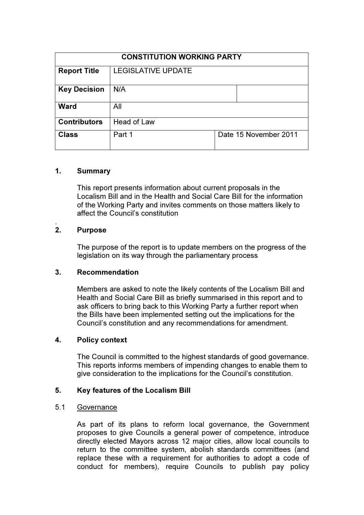| <b>CONSTITUTION WORKING PARTY</b> |                           |                       |
|-----------------------------------|---------------------------|-----------------------|
| <b>Report Title</b>               | <b>LEGISLATIVE UPDATE</b> |                       |
| <b>Key Decision</b>               | N/A                       |                       |
| <b>Ward</b>                       | All                       |                       |
| <b>Contributors</b>               | Head of Law               |                       |
| <b>Class</b>                      | Part 1                    | Date 15 November 2011 |

# 1. Summary

This report presents information about current proposals in the Localism Bill and in the Health and Social Care Bill for the information of the Working Party and invites comments on those matters likely to affect the Council's constitution

#### . 2. Purpose

The purpose of the report is to update members on the progress of the legislation on its way through the parliamentary process

# 3. Recommendation

Members are asked to note the likely contents of the Localism Bill and Health and Social Care Bill as briefly summarised in this report and to ask officers to bring back to this Working Party a further report when the Bills have been implemented setting out the implications for the Council's constitution and any recommendations for amendment.

# 4. Policy context

The Council is committed to the highest standards of good governance. This reports informs members of impending changes to enable them to give consideration to the implications for the Council's constitution.

# 5. Key features of the Localism Bill

# 5.1 Governance

As part of its plans to reform local governance, the Government proposes to give Councils a general power of competence, introduce directly elected Mayors across 12 major cities, allow local councils to return to the committee system, abolish standards committees (and replace these with a requirement for authorities to adopt a code of conduct for members), require Councils to publish pay policy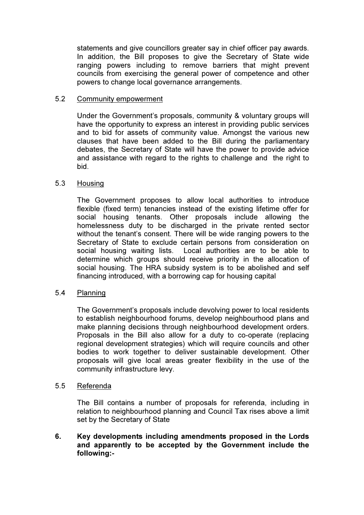statements and give councillors greater say in chief officer pay awards. In addition, the Bill proposes to give the Secretary of State wide ranging powers including to remove barriers that might prevent councils from exercising the general power of competence and other powers to change local governance arrangements.

# 5.2 Community empowerment

Under the Government's proposals, community & voluntary groups will have the opportunity to express an interest in providing public services and to bid for assets of community value. Amongst the various new clauses that have been added to the Bill during the parliamentary debates, the Secretary of State will have the power to provide advice and assistance with regard to the rights to challenge and the right to bid.

# 5.3 Housing

The Government proposes to allow local authorities to introduce flexible (fixed term) tenancies instead of the existing lifetime offer for social housing tenants. Other proposals include allowing the homelessness duty to be discharged in the private rented sector without the tenant's consent. There will be wide ranging powers to the Secretary of State to exclude certain persons from consideration on social housing waiting lists. Local authorities are to be able to determine which groups should receive priority in the allocation of social housing. The HRA subsidy system is to be abolished and self financing introduced, with a borrowing cap for housing capital

# 5.4 Planning

The Government's proposals include devolving power to local residents to establish neighbourhood forums, develop neighbourhood plans and make planning decisions through neighbourhood development orders. Proposals in the Bill also allow for a duty to co-operate (replacing regional development strategies) which will require councils and other bodies to work together to deliver sustainable development. Other proposals will give local areas greater flexibility in the use of the community infrastructure levy.

# 5.5 Referenda

The Bill contains a number of proposals for referenda, including in relation to neighbourhood planning and Council Tax rises above a limit set by the Secretary of State

# 6. Key developments including amendments proposed in the Lords and apparently to be accepted by the Government include the following:-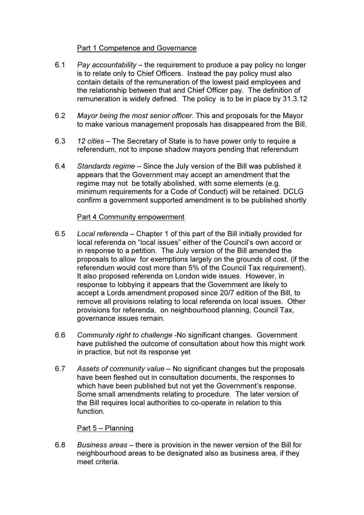# Part 1 Competence and Governance

- 6.1 Pay accountability the requirement to produce a pay policy no longer is to relate only to Chief Officers. Instead the pay policy must also contain details of the remuneration of the lowest paid employees and the relationship between that and Chief Officer pay. The definition of remuneration is widely defined. The policy is to be in place by 31.3.12
- 6.2 Mayor being the most senior officer. This and proposals for the Mayor to make various management proposals has disappeared from the Bill.
- 6.3 12 cities The Secretary of State is to have power only to require a referendum, not to impose shadow mayors pending that referendum
- 6.4 Standards regime Since the July version of the Bill was published it appears that the Government may accept an amendment that the regime may not be totally abolished, with some elements (e.g. minimum requirements for a Code of Conduct) will be retained. DCLG confirm a government supported amendment is to be published shortly

# Part 4 Community empowerment

- 6.5 Local referenda Chapter 1 of this part of the Bill initially provided for local referenda on "local issues" either of the Council's own accord or in response to a petition. The July version of the Bill amended the proposals to allow for exemptions largely on the grounds of cost. (if the referendum would cost more than 5% of the Council Tax requirement). It also proposed referenda on London wide issues. However, in response to lobbying it appears that the Government are likely to accept a Lords amendment proposed since 20/7 edition of the Bill, to remove all provisions relating to local referenda on local issues. Other provisions for referenda, on neighbourhood planning, Council Tax, governance issues remain.
- 6.6 Community right to challenge -No significant changes. Government have published the outcome of consultation about how this might work in practice, but not its response yet
- 6.7 Assets of community value No significant changes but the proposals have been fleshed out in consultation documents, the responses to which have been published but not yet the Government's response. Some small amendments relating to procedure. The later version of the Bill requires local authorities to co-operate in relation to this function.

# Part 5 – Planning

6.8 Business areas – there is provision in the newer version of the Bill for neighbourhood areas to be designated also as business area, if they meet criteria.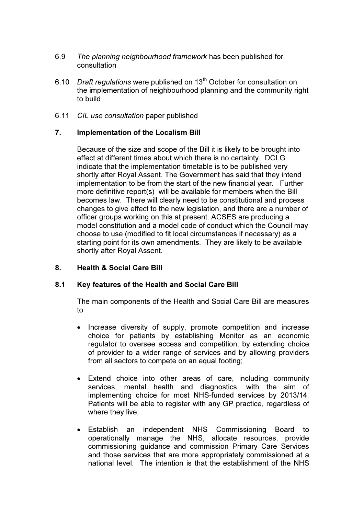- 6.9 The planning neighbourhood framework has been published for consultation
- 6.10 Draft regulations were published on  $13<sup>th</sup>$  October for consultation on the implementation of neighbourhood planning and the community right to build
- 6.11 CIL use consultation paper published

# 7. Implementation of the Localism Bill

Because of the size and scope of the Bill it is likely to be brought into effect at different times about which there is no certainty. DCLG indicate that the implementation timetable is to be published very shortly after Royal Assent. The Government has said that they intend implementation to be from the start of the new financial year. Further more definitive report(s) will be available for members when the Bill becomes law. There will clearly need to be constitutional and process changes to give effect to the new legislation, and there are a number of officer groups working on this at present. ACSES are producing a model constitution and a model code of conduct which the Council may choose to use (modified to fit local circumstances if necessary) as a starting point for its own amendments. They are likely to be available shortly after Royal Assent.

# 8. Health & Social Care Bill

# 8.1 Key features of the Health and Social Care Bill

The main components of the Health and Social Care Bill are measures to

- Increase diversity of supply, promote competition and increase choice for patients by establishing Monitor as an economic regulator to oversee access and competition, by extending choice of provider to a wider range of services and by allowing providers from all sectors to compete on an equal footing;
- Extend choice into other areas of care, including community services, mental health and diagnostics, with the aim of implementing choice for most NHS-funded services by 2013/14. Patients will be able to register with any GP practice, regardless of where they live;
- Establish an independent NHS Commissioning Board to operationally manage the NHS, allocate resources, provide commissioning guidance and commission Primary Care Services and those services that are more appropriately commissioned at a national level. The intention is that the establishment of the NHS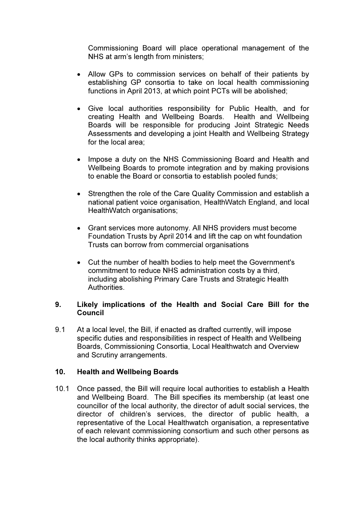Commissioning Board will place operational management of the NHS at arm's length from ministers;

- Allow GPs to commission services on behalf of their patients by establishing GP consortia to take on local health commissioning functions in April 2013, at which point PCTs will be abolished;
- Give local authorities responsibility for Public Health, and for creating Health and Wellbeing Boards. Health and Wellbeing Boards will be responsible for producing Joint Strategic Needs Assessments and developing a joint Health and Wellbeing Strategy for the local area;
- Impose a duty on the NHS Commissioning Board and Health and Wellbeing Boards to promote integration and by making provisions to enable the Board or consortia to establish pooled funds;
- Strengthen the role of the Care Quality Commission and establish a national patient voice organisation, HealthWatch England, and local HealthWatch organisations;
- Grant services more autonomy. All NHS providers must become Foundation Trusts by April 2014 and lift the cap on wht foundation Trusts can borrow from commercial organisations
- Cut the number of health bodies to help meet the Government's commitment to reduce NHS administration costs by a third, including abolishing Primary Care Trusts and Strategic Health Authorities.

# 9. Likely implications of the Health and Social Care Bill for the Council

9.1 At a local level, the Bill, if enacted as drafted currently, will impose specific duties and responsibilities in respect of Health and Wellbeing Boards, Commissioning Consortia, Local Healthwatch and Overview and Scrutiny arrangements.

# 10. Health and Wellbeing Boards

10.1 Once passed, the Bill will require local authorities to establish a Health and Wellbeing Board. The Bill specifies its membership (at least one councillor of the local authority, the director of adult social services, the director of children's services, the director of public health, a representative of the Local Healthwatch organisation, a representative of each relevant commissioning consortium and such other persons as the local authority thinks appropriate).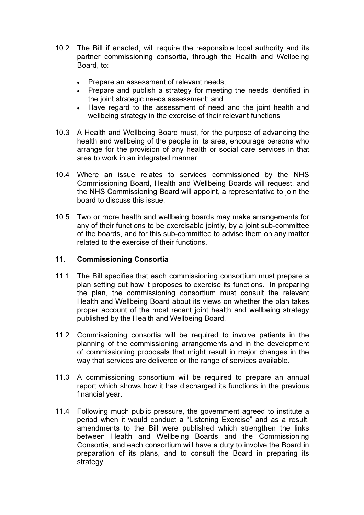- 10.2 The Bill if enacted, will require the responsible local authority and its partner commissioning consortia, through the Health and Wellbeing Board, to:
	- Prepare an assessment of relevant needs;
	- Prepare and publish a strategy for meeting the needs identified in the joint strategic needs assessment; and
	- Have regard to the assessment of need and the joint health and wellbeing strategy in the exercise of their relevant functions
- 10.3 A Health and Wellbeing Board must, for the purpose of advancing the health and wellbeing of the people in its area, encourage persons who arrange for the provision of any health or social care services in that area to work in an integrated manner.
- 10.4 Where an issue relates to services commissioned by the NHS Commissioning Board, Health and Wellbeing Boards will request, and the NHS Commissioning Board will appoint, a representative to join the board to discuss this issue.
- 10.5 Two or more health and wellbeing boards may make arrangements for any of their functions to be exercisable jointly, by a joint sub-committee of the boards, and for this sub-committee to advise them on any matter related to the exercise of their functions.

# 11. Commissioning Consortia

- 11.1 The Bill specifies that each commissioning consortium must prepare a plan setting out how it proposes to exercise its functions. In preparing the plan, the commissioning consortium must consult the relevant Health and Wellbeing Board about its views on whether the plan takes proper account of the most recent joint health and wellbeing strategy published by the Health and Wellbeing Board.
- 11.2 Commissioning consortia will be required to involve patients in the planning of the commissioning arrangements and in the development of commissioning proposals that might result in major changes in the way that services are delivered or the range of services available.
- 11.3 A commissioning consortium will be required to prepare an annual report which shows how it has discharged its functions in the previous financial year.
- 11.4 Following much public pressure, the government agreed to institute a period when it would conduct a "Listening Exercise" and as a result, amendments to the Bill were published which strengthen the links between Health and Wellbeing Boards and the Commissioning Consortia, and each consortium will have a duty to involve the Board in preparation of its plans, and to consult the Board in preparing its strategy.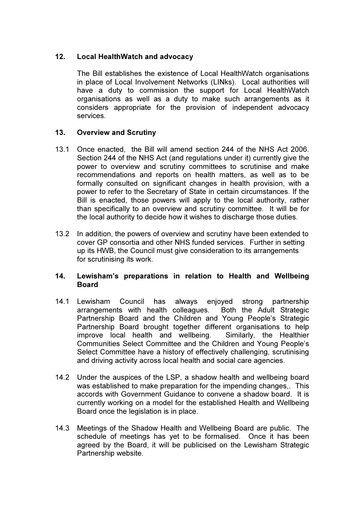# 12. Local HealthWatch and advocacy

 The Bill establishes the existence of Local HealthWatch organisations in place of Local Involvement Networks (LINks). Local authorities will have a duty to commission the support for Local HealthWatch organisations as well as a duty to make such arrangements as it considers appropriate for the provision of independent advocacy services.

# 13. Overview and Scrutiny

- 13.1 Once enacted, the Bill will amend section 244 of the NHS Act 2006. Section 244 of the NHS Act (and regulations under it) currently give the power to overview and scrutiny committees to scrutinise and make recommendations and reports on health matters, as well as to be formally consulted on significant changes in health provision, with a power to refer to the Secretary of State in certain circumstances. If the Bill is enacted, those powers will apply to the local authority, rather than specifically to an overview and scrutiny committee. It will be for the local authority to decide how it wishes to discharge those duties.
- 13.2 In addition, the powers of overview and scrutiny have been extended to cover GP consortia and other NHS funded services. Further in setting up its HWB, the Council must give consideration to its arrangements for scrutinising its work.

# 14. Lewisham's preparations in relation to Health and Wellbeing Board

- 14.1 Lewisham Council has always enjoyed strong partnership arrangements with health colleagues. Both the Adult Strategic Partnership Board and the Children and Young People's Strategic Partnership Board brought together different organisations to help improve local health and wellbeing. Similarly, the Healthier Communities Select Committee and the Children and Young People's Select Committee have a history of effectively challenging, scrutinising and driving activity across local health and social care agencies.
- 14.2 Under the auspices of the LSP, a shadow health and wellbeing board was established to make preparation for the impending changes,. This accords with Government Guidance to convene a shadow board. It is currently working on a model for the established Health and Wellbeing Board once the legislation is in place.
- 14.3 Meetings of the Shadow Health and Wellbeing Board are public. The schedule of meetings has yet to be formalised. Once it has been agreed by the Board, it will be publicised on the Lewisham Strategic Partnership website.